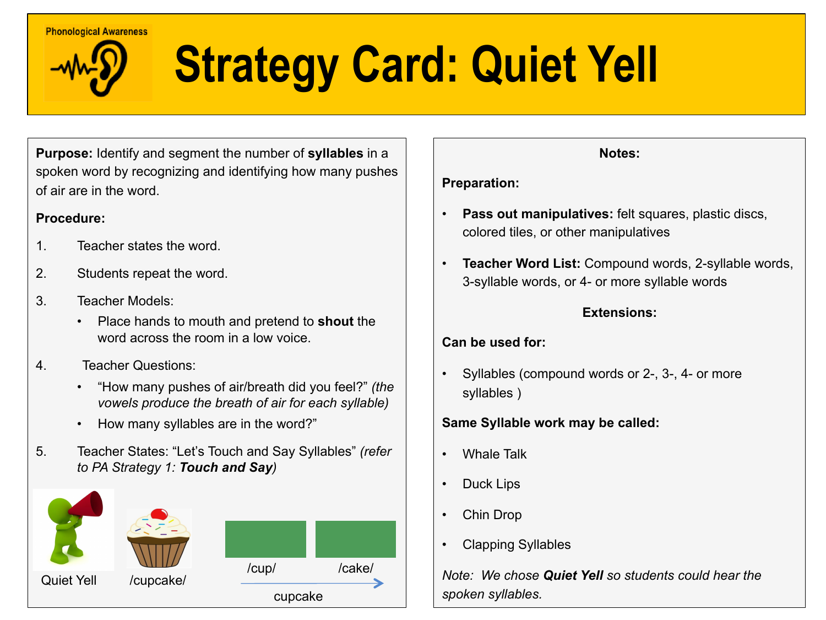#### **Phonological Awareness**

## **Strategy Card: Quiet Yell**

**Purpose:** Identify and segment the number of **syllables** in a spoken word by recognizing and identifying how many pushes of air are in the word.

#### **Procedure:**

- 1. Teacher states the word.
- 2. Students repeat the word.
- 3. Teacher Models:
	- Place hands to mouth and pretend to **shout** the word across the room in a low voice.
- 4. Teacher Questions:
	- "How many pushes of air/breath did you feel?" *(the vowels produce the breath of air for each syllable)*
	- How many syllables are in the word?"
- 5. Teacher States: "Let's Touch and Say Syllables" *(refer to PA Strategy 1: Touch and Say)*



#### **Notes:**

#### **Preparation:**

- **Pass out manipulatives:** felt squares, plastic discs, colored tiles, or other manipulatives
- **Teacher Word List:** Compound words, 2-syllable words, 3-syllable words, or 4- or more syllable words

#### **Extensions:**

#### **Can be used for:**

• Syllables (compound words or 2-, 3-, 4- or more syllables )

#### **Same Syllable work may be called:**

- Whale Talk
- Duck Lips
- Chin Drop
- Clapping Syllables

*Note: We chose Quiet Yell so students could hear the spoken syllables.*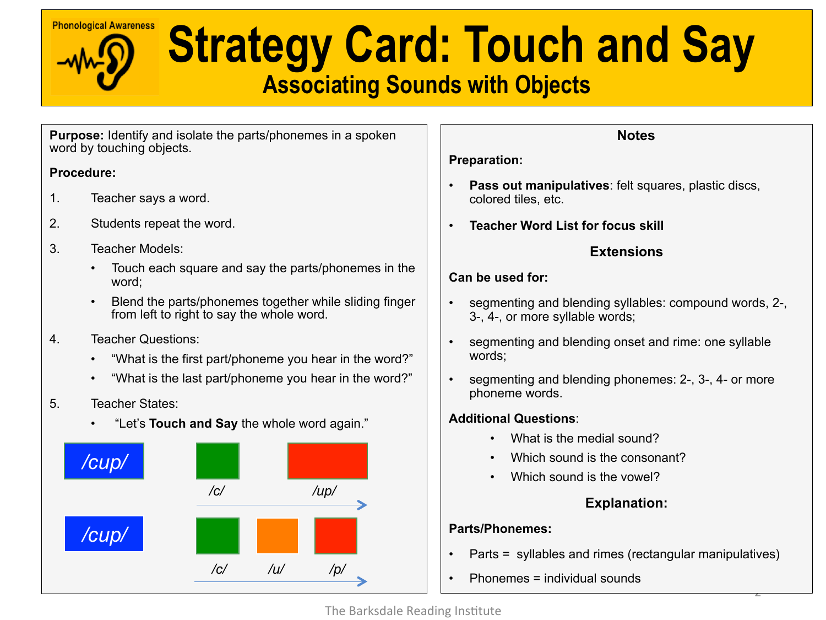# **Ehonological Awareness** Strategy Card: Touch and Say

### **Associating Sounds with Objects**

**Purpose:** Identify and isolate the parts/phonemes in a spoken word by touching objects.

#### **Procedure:**

- 1. Teacher says a word.
- 2. Students repeat the word.
- 3. Teacher Models:
	- Touch each square and say the parts/phonemes in the word;
	- Blend the parts/phonemes together while sliding finger from left to right to say the whole word.
- 4. Teacher Questions:
	- "What is the first part/phoneme you hear in the word?"
	- "What is the last part/phoneme you hear in the word?"
- 5. Teacher States:
	- "Let's **Touch and Say** the whole word again."



#### **Notes**

#### **Preparation:**

- **Pass out manipulatives**: felt squares, plastic discs, colored tiles, etc.
- **Teacher Word List for focus skill**

#### **Extensions**

#### **Can be used for:**

- segmenting and blending syllables: compound words, 2-, 3-, 4-, or more syllable words;
- segmenting and blending onset and rime: one syllable words;
- segmenting and blending phonemes: 2-, 3-, 4- or more phoneme words.

#### **Additional Questions**:

- What is the medial sound?
- Which sound is the consonant?
- Which sound is the vowel?

#### **Explanation:**

2 

#### **Parts/Phonemes:**

- Parts = syllables and rimes (rectangular manipulatives)
- Phonemes = individual sounds